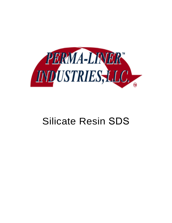

# Silicate Resin SDS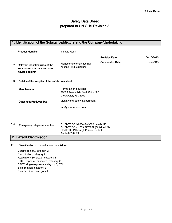# **Safety Data Sheet** prepared to UN GHS Revision 3

# 1. Identification of the Substance/Mixture and the Company/Undertaking 1.1 Product Identifier **Revision Date:** 06/16/2015 Supercedes Date: New SDS Silicate Resin Monocomponent industrial coating - Industrial use. 1.2 Relevant identified uses of the substance or mixture and uses advised against 1.3 Details of the supplier of the safety data sheet Manufacturer: Datasheet Produced by: 1.4 Perma-Liner Industries 13000 Automobile Blvd, Suite 300 Clearwater, FL 33762 Quality and Safety Department info@perma-liner.com CHEMTREC 1-800-424-9300 (Inside US) CHEMTREC +1 703 5273887 (Outside US) HEALTH - Pittsburgh Poison Control 1-412-681-6669 Emergency telephone number: 2. Hazard Identification

## 2.1 Classification of the substance or mixture

Carcinogenicity, category 2 Eye Irritation, category 2 Respiratory Sensitizer, category 1 STOT, repeated exposure, category 2 STOT, single exposure, category 3, RTI Skin Irritation, category 2 Skin Sensitizer, category 1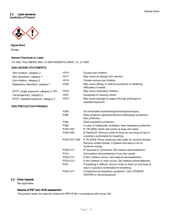## 2.2 Label elements Symbol(s) of Product



Signal Word Danger

## Named Chemicals on Label

4,4' MDI, POLYMERIC MDI, 4,4 MDI HOMOPOLYMER, 2,2, 2,4 MDI

## GHS HAZARD STATEMENTS

| Skin Irritation, category 2            | H315             | Causes skin irritation.                                                                                                                   |
|----------------------------------------|------------------|-------------------------------------------------------------------------------------------------------------------------------------------|
| Skin Sensitizer, category 1            | H317             | May cause an allergic skin reaction.                                                                                                      |
| Eye Irritation, category 2             | H319             | Causes serious eye irritation.                                                                                                            |
| Respiratory Sensitizer, category 1     | H334             | May cause allergy or asthma symptoms or breathing<br>difficulties if inhaled.                                                             |
| STOT, single exposure, category 3, RTI | H335             | May cause respiratory irritation.                                                                                                         |
| Carcinogenicity, category 2            | H351             | Suspected of causing cancer.                                                                                                              |
| STOT, repeated exposure, category 2    | H373             | May cause damage to organs through prolonged or<br>repeated exposure.                                                                     |
| <b>GHS PRECAUTION PHRASES</b>          |                  |                                                                                                                                           |
|                                        | P260             | Do not breathe dust/fume/gas/mist/vapours/spray.                                                                                          |
|                                        | P280             | Wear protective gloves/protective clothing/eye protection/<br>face protection.                                                            |
|                                        | P <sub>284</sub> | Wear respiratory protection.                                                                                                              |
|                                        | P285             | In case of inadequate ventilation wear respiratory protection.                                                                            |
|                                        | P302+352         | IF ON SKIN: Wash with plenty of soap and water.                                                                                           |
|                                        | P304+340         | IF INHALED: Remove victim to fresh air and keep at rest in<br>a position comfortable for breathing.                                       |
|                                        | P305+351+338     | IF IN EYES: Rinse cautiously with water for several minutes.<br>Remove contact lenses, if present and easy to do so.<br>Continue rinsing. |
|                                        | P308+313         | IF exposed or concerned: Get medical advice/attention                                                                                     |
|                                        | P314             | Get medical advice/attention if you feel unwell.                                                                                          |
|                                        | P332+313         | If skin irritation occurs: Get medical advice/attention.                                                                                  |
|                                        | P333+313         | If skin irritation or rash occurs: Get medical advice/attention.                                                                          |
|                                        | P341             | If breathing is difficult, remove victim to fresh air and keep at<br>rest in a position comfortable for breathing.                        |
|                                        | P342+311         | If experiencing respiratory symptoms: Call a POISON<br>CENTER or doctor/physician.                                                        |

## 2.3 Other hazards

Not applicable

## Results of PBT and vPvB assessment:

The product does not meet the criteria for PBT/VPvB in accordance with Annex XIII.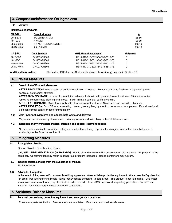# 3. Composition/Information On Ingredients

## 3.2 Mixtures

#### Hazardous Ingredients

| CAS-No.    | <b>Chemical Name</b> |                                  | <u>%</u>         |
|------------|----------------------|----------------------------------|------------------|
| 9016-87-9  | POLYMERIC MDI        |                                  | $25 - 50$        |
| 101-68-8   | 4.4' MDI             |                                  | 25-50            |
| 25686-28-6 | 4.4 MDI HOMOPOLYMER  |                                  | $2.5 - 10$       |
| 26447-40-5 | 2.2. 2.4 MDI         |                                  | $2.5 - 10$       |
| CAS-No.    | <b>GHS Symbols</b>   | <b>GHS Hazard Statements</b>     | <b>M-Factors</b> |
| 9016-87-9  | GHS07-GHS08          | H315-317-319-332-334-335-351-373 | 0                |
| 101-68-8   | GHS07-GHS08          | H315-317-319-332-334-335-351-373 | 0                |
| 25686-28-6 | GHS07-GHS08          | H315-317-319-332-334-335-351-373 | 0                |
| 26447-40-5 | GHS07-GHS08          | H315-317-319-332-334-335-351-373 | 0                |

Additional Information: The text for GHS Hazard Statements shown above (if any) is given in Section 16.

# 4. First-aid Measures . First-aid Measures

## 4.1 Description of First Aid Measures

AFTER INHALATION: Give oxygen or artificial respiration if needed. Remove person to fresh air. If signs/symptoms continue, get medical attention.

AFTER SKIN CONTACT: In case of contact, immediately flush skin with plenty of water for at least 15 minutes while removing contaminated clothing and shoes. If skin irritation persists, call a physician.

AFTER EYE CONTACT: Rinse thoroughly with plenty of water for at least 15 minutes and consult a physician.

AFTER INGESTION: Do NOT induce vomiting. Never give anything by mouth to an unconscious person. If swallowed, call a poison control centre or doctor immediately.

## 4.2 Most important symptoms and effects, both acute and delayed

May cause sensitization by skin contact. Irritating to eyes and skin. May be harmful if swallowed.

## 4.3 Indication of any immediate medical attention and special treatment needed

No information available on clinical testing and medical monitoring. Specific toxicological information on substances, if available, can be found in section 11.

# 5. Fire-fighting Measures .

## 5.1 Extinguishing Media:

Carbon Dioxide, Dry Chemical, Foam

UNUSUAL FIRE AND EXPLOSION HAZARDS: Humid air and/or water will produce carbon dioxide which will pressurize the container. Contamination may result in dangerous pressure increases - closed containers may rupture.

# 5.2 Special hazards arising from the substance or mixture

No Information

## 5.3 Advice for firefighters

In the event of fire, wear self-contained breathing apparatus. Wear suitable protective equipment. Water reactiveDry chemical (on small fires)Extinguishing media - large firesEvacuate personnel to safe areas. The product is not flammable. Use water spray, alcohol-resistant foam, dry chemical or carbon dioxide. Use NIOSH approved respiratory protection. Do NOT use water jet. Use water spray to cool unopened containers.

# **6. Accidental Release Measures**

## 6.1 Personal precautions, protective equipment and emergency procedures

Ensure adequate ventilation. Ensure adequate ventilation. Evacuate personnel to safe areas.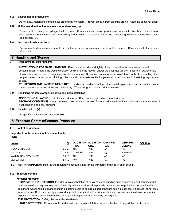## 6.2 Environmental precautions

Do not allow material to contaminate ground water system. Prevent product from entering drains. Keep the container open.

## 6.3 Methods and material for containment and cleaning up

Prevent further leakage or spillage if safe to do so. Contain spillage, soak up with non-combustible absorbent material, (e.g. sand, earth, diatomaceous earth, vermiculite) and transfer to a container for disposal according to local / national regulations (see section 13).

#### 6.4 Reference to other sections

Please refer to disposal requirements or country specific disposal requirements for this material. See Section 13 for further information.

## 7. Handling and Storage

## Precautions for safe handling

INSTRUCTIONS FOR SAFE HANDLING : Keep containers dry and tightly closed to avoid moisture absorption and contamination. Prepare the working solution as given on the label(s) and/or the user instructions. Ensure all equipment is electrically grounded before beginning transfer operations. Do not use sparking tools. Wash thoroughly after handling. Do not get in eyes, on skin, or on clothing. Use only with adequate ventilation/personal protection. Avoid breathing vapors, mist or gas.

PROTECTION AND HYGIENE MEASURES : Handle in accordance with good industrial hygiene and safety practice. Wash hands before breaks and at the end of workday. When using, do not eat, drink or smoke.

#### 7.2 Conditions for safe storage, including any incompatibilities

CONDITIONS TO AVOID: Heat, flames and sparks. Keep from any possible contact with water. STORAGE CONDITIONS: Keep container closed when not in use. Store in a dry, well ventilated place away from sources of heat, ignition and direct sunlight.

#### 7.3 Specific end use(s)

No specific advice for end use available.

# 8. Exposure Controls/Personal Protection

## 8.1 Control parameters

## Ingredients with Occupational Exposure Limits

(US)

| Name                | <u>%</u>   | ACGIH TLV- ACGIH TLV- OSHA PEL-<br>TWA | <b>STEL</b> | TWA | <b>OSHA PEL-</b><br><b>CEILING</b> | <b>OEL Note</b> |
|---------------------|------------|----------------------------------------|-------------|-----|------------------------------------|-----------------|
| POLYMERIC MDI       | 25-50      | N/E                                    | N/E         | N/E | N/E                                |                 |
| 4.4' MDI            | $25 - 50$  | 0.005 PPM                              | N/E         | N/E | 0.2 MGM3                           |                 |
| 4.4 MDI HOMOPOLYMER | $2.5 - 10$ | N/E                                    | N/E         | N/E | N/E                                |                 |
| 2,2, 2,4 MDI        | $2.5 - 10$ | N/E                                    | N/E         | N/E | N/E                                |                 |

**FURTHER INFORMATION:** Refer to the regulatory exposure limits for the workforce enforced in each country.

## 8.2 Exposure controls

## Personal Protection

RESPIRATORY PROTECTION: In order to avoid inhalation of spray-mist and sanding dust, all spraying and sanding must be done wearing adequate respirator. Use only with ventilation to keep levels below exposure guidelines reported in this document. User should test and monitor exposure levels to ensure all personnel are below guidelines. If not sure, or not able to monitor, use State or federally approved supplied air respirator. For silica containing coatings in a liquid state, and/or if no exposure limits are established above, air-supplied respirators are generally not required.

EYE PROTECTION: Safety glasses with side-shields.

HAND PROTECTION: Gloves should be discarded and replaced if there is any indication of degradation or chemical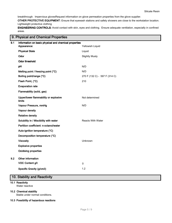breakthrough. Impervious glovesRequest information on glove permeation properties from the glove supplier.

OTHER PROTECTIVE EQUIPMENT: Ensure that eyewash stations and safety showers are close to the workstation location. Lightweight protective clothing

ENGINEERING CONTROLS: Avoid contact with skin, eyes and clothing. Ensure adequate ventilation, especially in confined areas.

# 9. Physical and Chemical Properties

| 9.1 | Information on basic physical and chemical properties |                               |
|-----|-------------------------------------------------------|-------------------------------|
|     | Appearance:                                           | Yellowish Liquid              |
|     | <b>Physical State</b>                                 | Liquid                        |
|     | Odor                                                  | <b>Slightly Musty</b>         |
|     | Odor threshold                                        |                               |
|     | pH                                                    | N/D                           |
|     | Melting point / freezing point (°C)                   | N/D                           |
|     | Boiling point/range (°C)                              | 270 F (132 C) - 597 F (314 C) |
|     | Flash Point, (°C)                                     | 210                           |
|     | <b>Evaporation rate</b>                               |                               |
|     | Flammability (solid, gas)                             |                               |
|     | Upper/lower flammability or explosive<br>limits       | Not determined                |
|     | Vapour Pressure, mmHg                                 | N/D                           |
|     | Vapour density                                        |                               |
|     | <b>Relative density</b>                               |                               |
|     | Solubility in / Miscibility with water                | Reacts With Water             |
|     | Partition coefficient: n-octanol/water                |                               |
|     | Auto-ignition temperature (°C)                        |                               |
|     | Decomposition temperature (°C)                        |                               |
|     | <b>Viscosity</b>                                      | Unknown                       |
|     | <b>Explosive properties</b>                           |                               |
|     | <b>Oxidising properties</b>                           |                               |
| 9.2 | Other information                                     |                               |
|     | VOC Content g/l:                                      | $\mathsf 0$                   |
|     | Specific Gravity (g/cm3)                              | 1.2                           |
|     |                                                       |                               |

# 10. Stability and Reactivity

## 10.1 Reactivity

Water reactive

## 10.2 Chemical stability

Stable under normal conditions.

## 10.3 Possibility of hazardous reactions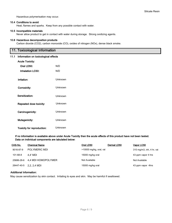Hazardous polymerisation may occur.

## 10.4 Conditions to avoid

Heat, flames and sparks. Keep from any possible contact with water.

#### 10.5 Incompatible materials

Never allow product to get in contact with water during storage. Strong oxidizing agents.

## 10.6 Hazardous decomposition products

Carbon dioxide (CO2), carbon monoxide (CO), oxides of nitrogen (NOx), dense black smoke.

# 11. Toxicological Information

## 11.1 Information on toxicological effects

| <b>Acute Toxicity:</b>     |         |
|----------------------------|---------|
| Oral LD50:                 | N/D     |
| <b>Inhalation LC50:</b>    | N/D     |
| Irritation:                | Unknown |
| Corrosivity:               | Unknown |
| Sensitization:             | Unknown |
| Repeated dose toxicity:    | Unknown |
| Carcinogenicity:           | Unknown |
| Mutagenicity:              | Unknown |
| Toxicity for reproduction: | Unknown |

## If no information is available above under Acute Toxicity then the acute effects of this product have not been tested. Data on individual components are tabulated below:

| CAS-No.    | <b>Chemical Name</b> | Oral LD50               | Dermal LD50 | Vapor LC50                      |
|------------|----------------------|-------------------------|-------------|---------------------------------|
| 9016-87-9  | POLYMERIC MDI        | >10000 mg/kg, oral, rat |             | $310$ mg/m $3$ , inh, 4 hr, rat |
| 101-68-8   | 4.4' MDI             | 15000 mg/kg oral        |             | 43 ppm vapor 4 hrs              |
| 25686-28-6 | 4.4 MDI HOMOPOLYMER  | Not Available           |             | Not Available                   |
| 26447-40-5 | 2,2, 2,4 MDI         | 15000 mg/kg oral        |             | 43 ppm vapor 4hrs               |

## Additional Information:

May cause sensitization by skin contact. Irritating to eyes and skin. May be harmful if swallowed.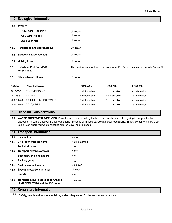# 12. Ecological Information

| 12.1                                      | Toxicity:  |                                        |         |                |                |                                                                                    |  |
|-------------------------------------------|------------|----------------------------------------|---------|----------------|----------------|------------------------------------------------------------------------------------|--|
|                                           |            | EC50 48hr (Daphnia):                   | Unknown |                |                |                                                                                    |  |
|                                           |            | IC50 72hr (Algae):                     | Unknown |                |                |                                                                                    |  |
|                                           |            | LC50 96hr (fish):                      | Unknown |                |                |                                                                                    |  |
|                                           |            | 12.2 Persistence and degradability:    | Unknown |                |                |                                                                                    |  |
| <b>Bioaccumulative potential:</b><br>12.3 |            | Unknown                                |         |                |                |                                                                                    |  |
| Mobility in soil:<br>12.4                 |            |                                        | Unknown |                |                |                                                                                    |  |
| 12.5                                      |            | Results of PBT and vPvB<br>assessment: |         |                |                | The product does not meet the criteria for PBT/VPvB in accordance with Annex XIII. |  |
| 12.6                                      |            | Other adverse effects:                 | Unknown |                |                |                                                                                    |  |
| CAS-No.                                   |            | <b>Chemical Name</b>                   |         | EC50 48hr      | IC50 72hr      | <b>LC50 96hr</b>                                                                   |  |
| 9016-87-9                                 |            | <b>POLYMERIC MDI</b>                   |         | No information | No information | No information                                                                     |  |
| 101-68-8                                  |            | 4,4' MDI                               |         | No information | No information | No information                                                                     |  |
|                                           | 25686-28-6 | 4,4 MDI HOMOPOLYMER                    |         | No information | No information | No information                                                                     |  |
|                                           | 26447-40-5 | 2, 2, 2, 4 MDI                         |         | No information | No information | No information                                                                     |  |

# 13. Disposal Considerations

13.1 WASTE TREATMENT METHODS: Do not burn, or use a cutting torch on, the empty drum. If recycling is not practicable, dispose of in compliance with local regulations. Dispose of in accordance with local regulations. Empty containers should be taken to an approved waste handling site for recycling or disposal.

# 14. Transport Information

|      | 14.1 UN number                                                                   | None           |
|------|----------------------------------------------------------------------------------|----------------|
|      | 14.2 UN proper shipping name                                                     | Not Regulated  |
|      | <b>Technical name</b>                                                            | N/A            |
|      | 14.3 Transport hazard class(es)                                                  | None           |
|      | Subsidiary shipping hazard                                                       | N/A            |
|      | 14.4 Packing group                                                               | N/A            |
| 14.5 | <b>Environmental hazards</b>                                                     | <b>Unknown</b> |
|      | 14.6 Special precautions for user                                                | Unknown        |
|      | EmS-No.:                                                                         | N/A            |
|      | 14.7 Transport in bulk according to Annex II<br>of MARPOL 73/78 and the IBC code | <b>Unknown</b> |
|      | $\cdot$ .                                                                        |                |

# 15. Regulatory Information

15.1 Safety, health and environmental regulations/legislation for the substance or mixture: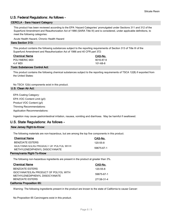# U.S. Federal Regulations: As follows -

# CERCLA - Sara Hazard Category

This product has been reviewed according to the EPA 'Hazard Categories' promulgated under Sections 311 and 312 of the Superfund Amendment and Reauthorization Act of 1986 (SARA Title III) and is considered, under applicable definitions, to meet the following categories:

Acute Health Hazard, Chronic Health Hazard

## Sara Section 313:

This product contains the following substances subject to the reporting requirements of Section 313 of Title III of the Superfund Amendment and Reauthorization Act of 1986 and 40 CFR part 372:

| CAS-No.   |
|-----------|
| 9016-87-9 |
| 101-68-8  |
|           |

## Toxic Substances Control Act:

This product contains the following chemical substances subject to the reporting requirements of TSCA 12(B) if exported from the United States:

No TSCA 12(b) components exist in this product.

| U.S. Clean Air Act:                                                                                           |
|---------------------------------------------------------------------------------------------------------------|
| EPA Coating Category:                                                                                         |
| EPA VOC Content Limit (q/l):                                                                                  |
| Product VOC Content (q/l)                                                                                     |
| Thinning Recommendations:                                                                                     |
| <b>Application Recommendations:</b>                                                                           |
| Ingestion may cause gastrointestinal irritation, nausea, vomiting and diarrhoea. May be harmful if swallowed. |

# U.S. State Regulations: As follows -

## New Jersey Right-to-Know:

The following materials are non-hazardous, but are among the top five components in this product.

| <b>Chemical Name</b>                   | CAS-No.    |
|----------------------------------------|------------|
| BENZOATE ESTERS                        | 120-55-8   |
| ISOCYANATES, Rx PRODUCT OF POLYOL WITH | 59675-67-1 |
| METHYLENEDIPHENYL DIISOCYANATE         |            |
|                                        |            |

## Pennsylvania Right-To-Know

The following non-hazardous ingredients are present in the product at greater than 3%.

| <b>Chemical Name</b>                                                     | CAS-No.        |  |  |  |
|--------------------------------------------------------------------------|----------------|--|--|--|
| <b>BENZOATE ESTERS</b>                                                   | $120 - 55 - 8$ |  |  |  |
| ISOCYANATES, Rx PRODUCT OF POLYOL WITH<br>METHYLENEDIPHENYL DIISOCYANATE | 59675-67-1     |  |  |  |
| <b>BENZOATE ESTERS</b>                                                   | 27138-31-4     |  |  |  |
| California Proposition 65:                                               |                |  |  |  |

Warning: The following ingredients present in the product are known to the state of California to cause Cancer:

No Proposition 65 Carcinogens exist in this product.